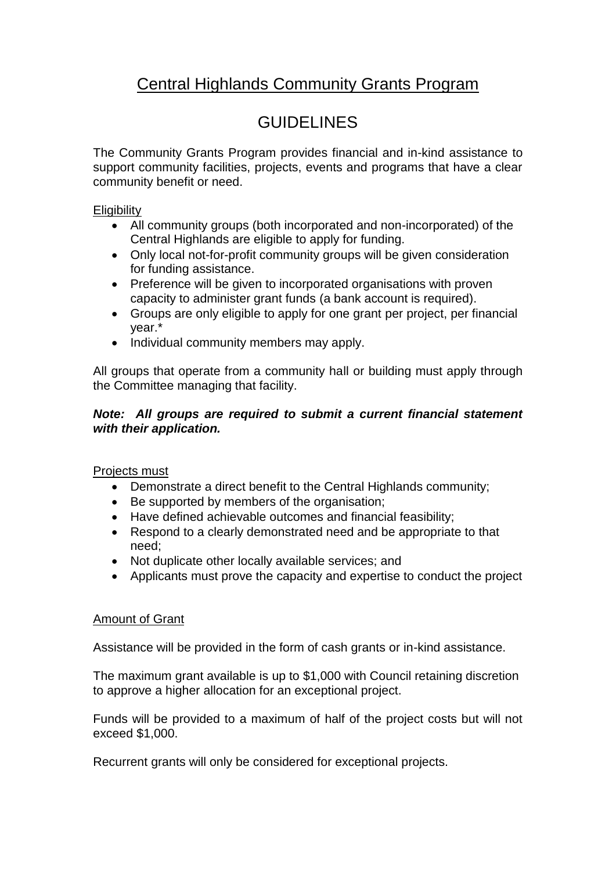## Central Highlands Community Grants Program

# **GUIDELINES**

The Community Grants Program provides financial and in-kind assistance to support community facilities, projects, events and programs that have a clear community benefit or need.

#### **Eligibility**

- All community groups (both incorporated and non-incorporated) of the Central Highlands are eligible to apply for funding.
- Only local not-for-profit community groups will be given consideration for funding assistance.
- Preference will be given to incorporated organisations with proven capacity to administer grant funds (a bank account is required).
- Groups are only eligible to apply for one grant per project, per financial year.\*
- Individual community members may apply.

All groups that operate from a community hall or building must apply through the Committee managing that facility.

#### *Note: All groups are required to submit a current financial statement with their application.*

Projects must

- Demonstrate a direct benefit to the Central Highlands community;
- Be supported by members of the organisation;
- Have defined achievable outcomes and financial feasibility;
- Respond to a clearly demonstrated need and be appropriate to that need;
- Not duplicate other locally available services; and
- Applicants must prove the capacity and expertise to conduct the project

#### Amount of Grant

Assistance will be provided in the form of cash grants or in-kind assistance.

The maximum grant available is up to \$1,000 with Council retaining discretion to approve a higher allocation for an exceptional project.

Funds will be provided to a maximum of half of the project costs but will not exceed \$1,000.

Recurrent grants will only be considered for exceptional projects.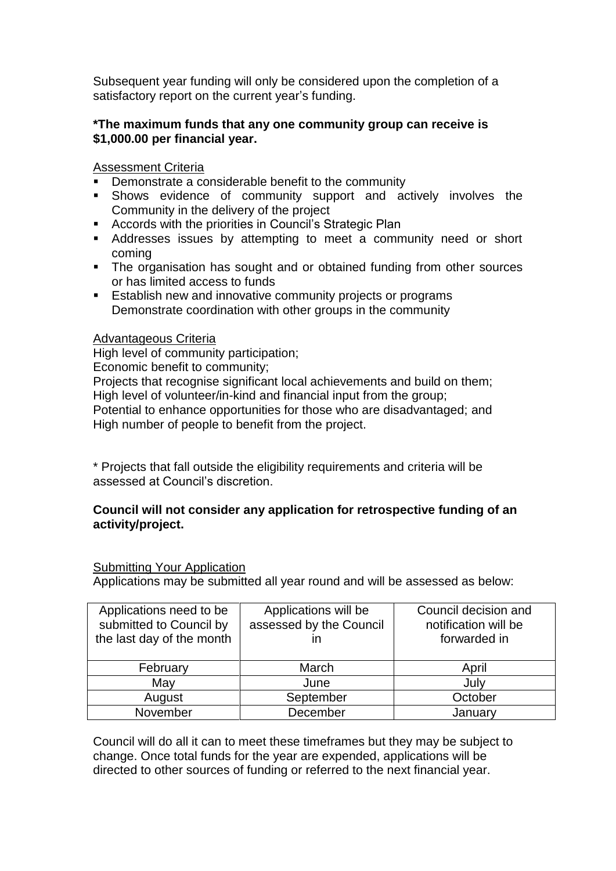Subsequent year funding will only be considered upon the completion of a satisfactory report on the current year's funding.

#### **\*The maximum funds that any one community group can receive is \$1,000.00 per financial year.**

#### Assessment Criteria

- Demonstrate a considerable benefit to the community
- Shows evidence of community support and actively involves the Community in the delivery of the project
- **Accords with the priorities in Council's Strategic Plan**
- Addresses issues by attempting to meet a community need or short coming
- The organisation has sought and or obtained funding from other sources or has limited access to funds
- **Establish new and innovative community projects or programs** Demonstrate coordination with other groups in the community

#### Advantageous Criteria

High level of community participation;

Economic benefit to community;

Projects that recognise significant local achievements and build on them: High level of volunteer/in-kind and financial input from the group;

Potential to enhance opportunities for those who are disadvantaged; and High number of people to benefit from the project.

\* Projects that fall outside the eligibility requirements and criteria will be assessed at Council's discretion.

#### **Council will not consider any application for retrospective funding of an activity/project.**

#### Submitting Your Application

Applications may be submitted all year round and will be assessed as below:

| Applications need to be<br>submitted to Council by<br>the last day of the month | Applications will be<br>assessed by the Council<br>ın | Council decision and<br>notification will be<br>forwarded in |
|---------------------------------------------------------------------------------|-------------------------------------------------------|--------------------------------------------------------------|
| February                                                                        | March                                                 | April                                                        |
| May                                                                             | June                                                  | July                                                         |
| August                                                                          | September                                             | October                                                      |
| November                                                                        | December                                              | January                                                      |

Council will do all it can to meet these timeframes but they may be subject to change. Once total funds for the year are expended, applications will be directed to other sources of funding or referred to the next financial year.